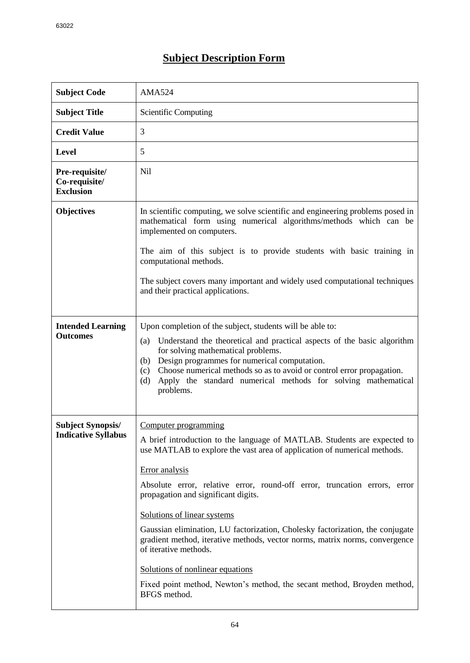## **Subject Description Form**

| <b>Subject Code</b>                                    | <b>AMA524</b>                                                                                                                                                                                                                                                                                                                                                                                                                                                                                                                                                                                                                                                             |
|--------------------------------------------------------|---------------------------------------------------------------------------------------------------------------------------------------------------------------------------------------------------------------------------------------------------------------------------------------------------------------------------------------------------------------------------------------------------------------------------------------------------------------------------------------------------------------------------------------------------------------------------------------------------------------------------------------------------------------------------|
| <b>Subject Title</b>                                   | <b>Scientific Computing</b>                                                                                                                                                                                                                                                                                                                                                                                                                                                                                                                                                                                                                                               |
| <b>Credit Value</b>                                    | 3                                                                                                                                                                                                                                                                                                                                                                                                                                                                                                                                                                                                                                                                         |
| <b>Level</b>                                           | 5                                                                                                                                                                                                                                                                                                                                                                                                                                                                                                                                                                                                                                                                         |
| Pre-requisite/<br>Co-requisite/<br><b>Exclusion</b>    | Nil                                                                                                                                                                                                                                                                                                                                                                                                                                                                                                                                                                                                                                                                       |
| <b>Objectives</b>                                      | In scientific computing, we solve scientific and engineering problems posed in<br>mathematical form using numerical algorithms/methods which can be<br>implemented on computers.<br>The aim of this subject is to provide students with basic training in<br>computational methods.<br>The subject covers many important and widely used computational techniques<br>and their practical applications.                                                                                                                                                                                                                                                                    |
| <b>Intended Learning</b><br><b>Outcomes</b>            | Upon completion of the subject, students will be able to:<br>Understand the theoretical and practical aspects of the basic algorithm<br>(a)<br>for solving mathematical problems.<br>(b) Design programmes for numerical computation.<br>Choose numerical methods so as to avoid or control error propagation.<br>(c)<br>Apply the standard numerical methods for solving mathematical<br>(d)<br>problems.                                                                                                                                                                                                                                                                |
| <b>Subject Synopsis/</b><br><b>Indicative Syllabus</b> | Computer programming<br>A brief introduction to the language of MATLAB. Students are expected to<br>use MATLAB to explore the vast area of application of numerical methods.<br>Error analysis<br>Absolute error, relative error, round-off error, truncation errors, error<br>propagation and significant digits.<br>Solutions of linear systems<br>Gaussian elimination, LU factorization, Cholesky factorization, the conjugate<br>gradient method, iterative methods, vector norms, matrix norms, convergence<br>of iterative methods.<br>Solutions of nonlinear equations<br>Fixed point method, Newton's method, the secant method, Broyden method,<br>BFGS method. |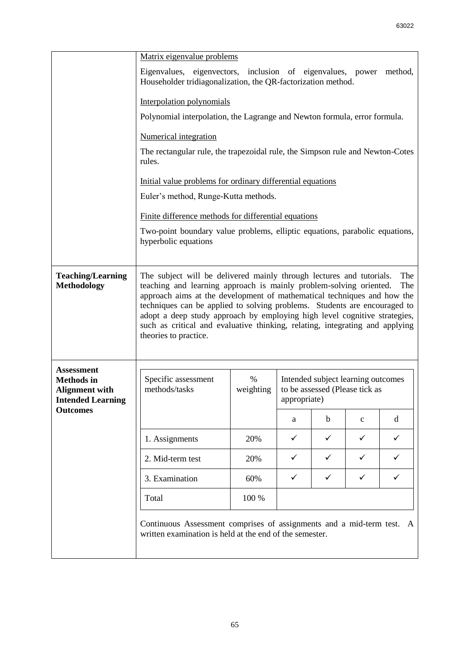|                                                                                             | Matrix eigenvalue problems                                                                                                                                                                                                                                                                                                                                                                                                                                                                             |                |              |                                                                                      |              |              |
|---------------------------------------------------------------------------------------------|--------------------------------------------------------------------------------------------------------------------------------------------------------------------------------------------------------------------------------------------------------------------------------------------------------------------------------------------------------------------------------------------------------------------------------------------------------------------------------------------------------|----------------|--------------|--------------------------------------------------------------------------------------|--------------|--------------|
|                                                                                             | Eigenvalues, eigenvectors, inclusion of eigenvalues, power<br>Householder tridiagonalization, the QR-factorization method.                                                                                                                                                                                                                                                                                                                                                                             |                |              |                                                                                      |              | method,      |
|                                                                                             | Interpolation polynomials                                                                                                                                                                                                                                                                                                                                                                                                                                                                              |                |              |                                                                                      |              |              |
|                                                                                             | Polynomial interpolation, the Lagrange and Newton formula, error formula.                                                                                                                                                                                                                                                                                                                                                                                                                              |                |              |                                                                                      |              |              |
|                                                                                             | Numerical integration                                                                                                                                                                                                                                                                                                                                                                                                                                                                                  |                |              |                                                                                      |              |              |
|                                                                                             | The rectangular rule, the trapezoidal rule, the Simpson rule and Newton-Cotes<br>rules.                                                                                                                                                                                                                                                                                                                                                                                                                |                |              |                                                                                      |              |              |
|                                                                                             | Initial value problems for ordinary differential equations                                                                                                                                                                                                                                                                                                                                                                                                                                             |                |              |                                                                                      |              |              |
|                                                                                             | Euler's method, Runge-Kutta methods.<br>Finite difference methods for differential equations<br>Two-point boundary value problems, elliptic equations, parabolic equations,<br>hyperbolic equations                                                                                                                                                                                                                                                                                                    |                |              |                                                                                      |              |              |
|                                                                                             |                                                                                                                                                                                                                                                                                                                                                                                                                                                                                                        |                |              |                                                                                      |              |              |
|                                                                                             |                                                                                                                                                                                                                                                                                                                                                                                                                                                                                                        |                |              |                                                                                      |              |              |
| <b>Teaching/Learning</b><br><b>Methodology</b>                                              | The subject will be delivered mainly through lectures and tutorials.<br>The<br>teaching and learning approach is mainly problem-solving oriented.<br>The<br>approach aims at the development of mathematical techniques and how the<br>techniques can be applied to solving problems. Students are encouraged to<br>adopt a deep study approach by employing high level cognitive strategies,<br>such as critical and evaluative thinking, relating, integrating and applying<br>theories to practice. |                |              |                                                                                      |              |              |
| <b>Assessment</b><br><b>Methods</b> in<br><b>Alignment with</b><br><b>Intended Learning</b> | Specific assessment<br>methods/tasks                                                                                                                                                                                                                                                                                                                                                                                                                                                                   | %<br>weighting |              | Intended subject learning outcomes<br>to be assessed (Please tick as<br>appropriate) |              |              |
| <b>Outcomes</b>                                                                             |                                                                                                                                                                                                                                                                                                                                                                                                                                                                                                        |                | a            | b                                                                                    | $\mathbf{C}$ | d            |
|                                                                                             | 1. Assignments                                                                                                                                                                                                                                                                                                                                                                                                                                                                                         | 20%            | $\checkmark$ | ✓                                                                                    | $\checkmark$ | $\checkmark$ |
|                                                                                             | 2. Mid-term test                                                                                                                                                                                                                                                                                                                                                                                                                                                                                       | 20%            | $\checkmark$ | ✓                                                                                    | $\checkmark$ | ✓            |
|                                                                                             | 3. Examination                                                                                                                                                                                                                                                                                                                                                                                                                                                                                         | 60%            | ✓            | ✓                                                                                    | $\checkmark$ | ✓            |
|                                                                                             | Total                                                                                                                                                                                                                                                                                                                                                                                                                                                                                                  | 100 %          |              |                                                                                      |              |              |
|                                                                                             |                                                                                                                                                                                                                                                                                                                                                                                                                                                                                                        |                |              |                                                                                      |              |              |
|                                                                                             | Continuous Assessment comprises of assignments and a mid-term test. A<br>written examination is held at the end of the semester.                                                                                                                                                                                                                                                                                                                                                                       |                |              |                                                                                      |              |              |
|                                                                                             |                                                                                                                                                                                                                                                                                                                                                                                                                                                                                                        |                |              |                                                                                      |              |              |